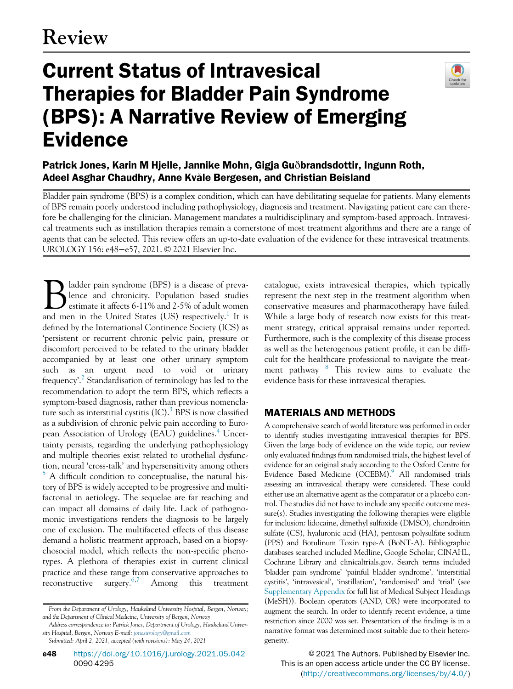# Current Status of Intravesical Therapies for Bladder Pain Syndrome (BPS): A Narrative Review of Emerging Evidence



Patrick Jones, Karin M Hjelle, Jannike Mohn, Gigja Guðbrandsdottir, Ingunn Roth, Adeel Asghar Chaudhry, Anne Kvåle Bergesen, and Christian Beisland

Bladder pain syndrome (BPS) is a complex condition, which can have debilitating sequelae for patients. Many elements of BPS remain poorly understood including pathophysiology, diagnosis and treatment. Navigating patient care can therefore be challenging for the clinician. Management mandates a multidisciplinary and symptom-based approach. Intravesical treatments such as instillation therapies remain a cornerstone of most treatment algorithms and there are a range of agents that can be selected. This review offers an up-to-date evaluation of the evidence for these intravesical treatments. UROLOGY 156: e48−e57, 2021. © 2021 Elsevier Inc.

Bladder pain syndrome (BPS) is a disease of preva-<br>estimate it affects 6-11% and 2-5% of adult women<br>and men in the United States (US) respectively <sup>1</sup> It is lence and chronicity. Population based studies estimate it affects 6-11% and 2-5% of adult women and men in the United States (US) respectively.<sup>1</sup> It is defined by the International Continence Society (ICS) as 'persistent or recurrent chronic pelvic pain, pressure or discomfort perceived to be related to the urinary bladder accompanied by at least one other urinary symptom such as an urgent need to void or urinary frequency'. [2](#page-8-1) Standardisation of terminology has led to the recommendation to adopt the term BPS, which reflects a symptom-based diagnosis, rather than previous nomenclature such as interstitial cystitis  $(IC).$ <sup>[3](#page-8-2)</sup> BPS is now classified as a subdivision of chronic pelvic pain according to Euro-pean Association of Urology (EAU) guidelines.<sup>[4](#page-8-3)</sup> Uncertainty persists, regarding the underlying pathophysiology and multiple theories exist related to urothelial dysfunction, neural 'cross-talk' and hypersensitivity among others [5](#page-8-4) A difficult condition to conceptualise, the natural history of BPS is widely accepted to be progressive and multifactorial in aetiology. The sequelae are far reaching and can impact all domains of daily life. Lack of pathognomonic investigations renders the diagnosis to be largely one of exclusion. The multifaceted effects of this disease demand a holistic treatment approach, based on a biopsychosocial model, which reflects the non-specific phenotypes. A plethora of therapies exist in current clinical practice and these range from conservative approaches to reconstructive surgery.[6](#page-8-5)[,7](#page-8-6) Among this treatment

**e48** [https://doi.org/10.1016/j.urology.2021.05.042](https://dx.doi.org/10.1016/j.urology.2021.05.042) 0090-4295

catalogue, exists intravesical therapies, which typically represent the next step in the treatment algorithm when conservative measures and pharmacotherapy have failed. While a large body of research now exists for this treatment strategy, critical appraisal remains under reported. Furthermore, such is the complexity of this disease process as well as the heterogenous patient profile, it can be difficult for the healthcare professional to navigate the treat-ment pathway <sup>[8](#page-8-7)</sup> This review aims to evaluate the evidence basis for these intravesical therapies.

## MATERIALS AND METHODS

A comprehensive search of world literature was performed in order to identify studies investigating intravesical therapies for BPS. Given the large body of evidence on the wide topic, our review only evaluated findings from randomised trials, the highest level of evidence for an original study according to the Oxford Centre for Evidence Based Medicine (OCEBM).<sup>9</sup> All randomised trials assessing an intravesical therapy were considered. These could either use an alternative agent as the comparator or a placebo control. The studies did not have to include any specific outcome measure(s). Studies investigating the following therapies were eligible for inclusion: lidocaine, dimethyl sulfoxide (DMSO), chondroitin sulfate (CS), hyaluronic acid (HA), pentosan polysulfate sodium (PPS) and Botulinum Toxin type-A (BoNT-A). Bibliographic databases searched included Medline, Google Scholar, CINAHL, Cochrane Library and clinicaltrials.gov. Search terms included 'bladder pain syndrome' 'painful bladder syndrome', 'interstitial cystitis', 'intravesical', 'instillation', 'randomised' and 'trial' (see [Supplementary Appendix](#page-8-9) for full list of Medical Subject Headings (MeSH)). Boolean operators (AND, OR) were incorporated to augment the search. In order to identify recent evidence, a time restriction since 2000 was set. Presentation of the findings is in a narrative format was determined most suitable due to their heterogeneity.

© 2021 The Authors. Published by Elsevier Inc. This is an open access article under the CC BY license. ([http://creativecommons.org/licenses/by/4.0/\)](http://creativecommons.org/licenses/by/4.0/)

From the Department of Urology, Haukeland University Hospital, Bergen, Norway; and the Department of Clinical Medicine, University of Bergen, Norway

Address correspondence to: Patrick Jones, Department of Urology, Haukeland University Hospital, Bergen, Norway E-mail: [jonesurology@gmail.com](mailto:jonesurology@gmail.com)

Submitted: April 2, 2021, accepted (with revisions): May 24, 2021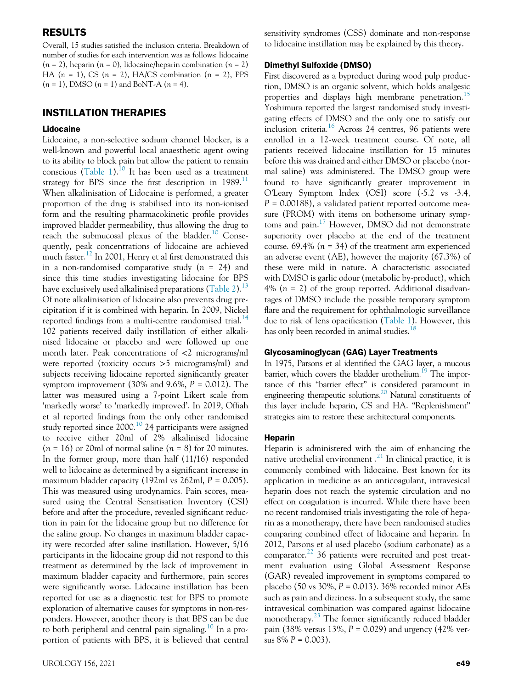### RESULTS

Overall, 15 studies satisfied the inclusion criteria. Breakdown of number of studies for each intervention was as follows: lidocaine  $(n = 2)$ , heparin  $(n = 0)$ , lidocaine/heparin combination  $(n = 2)$ HA  $(n = 1)$ , CS  $(n = 2)$ , HA/CS combination  $(n = 2)$ , PPS  $(n = 1)$ , DMSO  $(n = 1)$  and BoNT-A  $(n = 4)$ .

## INSTILLATION THERAPIES

#### Lidocaine

Lidocaine, a non-selective sodium channel blocker, is a well-known and powerful local anaesthetic agent owing to its ability to block pain but allow the patient to remain conscious [\(Table 1\)](#page-2-0).<sup>10</sup> It has been used as a treatment strategy for BPS since the first description in  $1989$ .<sup>[11](#page-8-11)</sup> When alkalinisation of Lidocaine is performed, a greater proportion of the drug is stabilised into its non-ionised form and the resulting pharmacokinetic profile provides improved bladder permeability, thus allowing the drug to reach the submucosal plexus of the bladder.[10](#page-8-10) Consequently, peak concentrations of lidocaine are achieved much faster.<sup>[12](#page-8-12)</sup> In 2001, Henry et al first demonstrated this in a non-randomised comparative study  $(n = 24)$  and since this time studies investigating lidocaine for BPS have exclusively used alkalinised preparations ([Table 2](#page-4-0)).<sup>[13](#page-8-13)</sup> Of note alkalinisation of lidocaine also prevents drug precipitation if it is combined with heparin. In 2009, Nickel reported findings from a multi-centre randomised trial.<sup>[14](#page-8-14)</sup> 102 patients received daily instillation of either alkalinised lidocaine or placebo and were followed up one month later. Peak concentrations of <2 micrograms/ml were reported (toxicity occurs >5 micrograms/ml) and subjects receiving lidocaine reported significantly greater symptom improvement  $(30\% \text{ and } 9.6\%, P = 0.012)$ . The latter was measured using a 7-point Likert scale from 'markedly worse' to 'markedly improved'. In 2019, Offiah et al reported findings from the only other randomised study reported since 2000.<sup>[10](#page-8-10)</sup> 24 participants were assigned to receive either 20ml of 2% alkalinised lidocaine  $(n = 16)$  or 20ml of normal saline  $(n = 8)$  for 20 minutes. In the former group, more than half (11/16) responded well to lidocaine as determined by a significant increase in maximum bladder capacity (192ml vs 262ml,  $P = 0.005$ ). This was measured using urodynamics. Pain scores, measured using the Central Sensitisation Inventory (CSI) before and after the procedure, revealed significant reduction in pain for the lidocaine group but no difference for the saline group. No changes in maximum bladder capacity were recorded after saline instillation. However, 5/16 participants in the lidocaine group did not respond to this treatment as determined by the lack of improvement in maximum bladder capacity and furthermore, pain scores were significantly worse. Lidocaine instillation has been reported for use as a diagnostic test for BPS to promote exploration of alternative causes for symptoms in non-responders. However, another theory is that BPS can be due to both peripheral and central pain signaling.<sup>[10](#page-8-10)</sup> In a proportion of patients with BPS, it is believed that central

sensitivity syndromes (CSS) dominate and non-response to lidocaine instillation may be explained by this theory.

#### Dimethyl Sulfoxide (DMSO)

First discovered as a byproduct during wood pulp production, DMSO is an organic solvent, which holds analgesic properties and displays high membrane penetration.<sup>[15](#page-8-15)</sup> Yoshimura reported the largest randomised study investigating effects of DMSO and the only one to satisfy our inclusion criteria.<sup>[16](#page-8-16)</sup> Across 24 centres, 96 patients were enrolled in a 12-week treatment course. Of note, all patients received lidocaine instillation for 15 minutes before this was drained and either DMSO or placebo (normal saline) was administered. The DMSO group were found to have significantly greater improvement in O'Leary Symptom Index (OSI) score (-5.2 vs -3.4,  $P = 0.00188$ , a validated patient reported outcome measure (PROM) with items on bothersome urinary symp-toms and pain.<sup>[17](#page-8-17)</sup> However, DMSO did not demonstrate superiority over placebo at the end of the treatment course. 69.4% ( $n = 34$ ) of the treatment arm experienced an adverse event (AE), however the majority (67.3%) of these were mild in nature. A characteristic associated with DMSO is garlic odour (metabolic by-product), which 4%  $(n = 2)$  of the group reported. Additional disadvantages of DMSO include the possible temporary symptom flare and the requirement for ophthalmologic surveillance due to risk of lens opacification [\(Table 1](#page-2-0)). However, this has only been recorded in animal studies.<sup>[18](#page-9-0)</sup>

#### Glycosaminoglycan (GAG) Layer Treatments

In 1975, Parsons et al identified the GAG layer, a mucous barrier, which covers the bladder urothelium.<sup>19</sup> The importance of this "barrier effect" is considered paramount in engineering therapeutic solutions.[20](#page-9-2) Natural constituents of this layer include heparin, CS and HA. "Replenishment" strategies aim to restore these architectural components.

#### Heparin

Heparin is administered with the aim of enhancing the native urothelial environment.<sup>[21](#page-9-3)</sup> In clinical practice, it is commonly combined with lidocaine. Best known for its application in medicine as an anticoagulant, intravesical heparin does not reach the systemic circulation and no effect on coagulation is incurred. While there have been no recent randomised trials investigating the role of heparin as a monotherapy, there have been randomised studies comparing combined effect of lidocaine and heparin. In 2012, Parsons et al used placebo (sodium carbonate) as a comparator. $^{22}$  $^{22}$  $^{22}$  36 patients were recruited and post treatment evaluation using Global Assessment Response (GAR) revealed improvement in symptoms compared to placebo (50 vs 30%,  $P = 0.013$ ). 36% recorded minor AEs such as pain and dizziness. In a subsequent study, the same intravesical combination was compared against lidocaine monotherapy.<sup>[23](#page-9-5)</sup> The former significantly reduced bladder pain (38% versus 13%,  $P = 0.029$ ) and urgency (42% versus  $8\% P = 0.003$ ).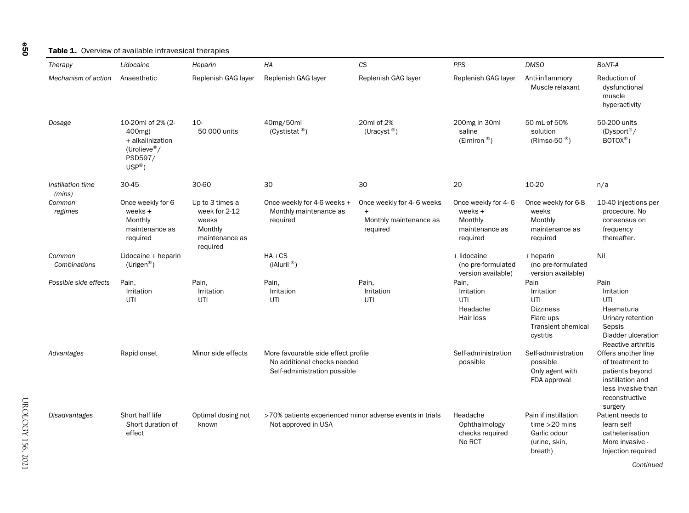#### Table 1. Overview of available intravesical therapies

| Therapy                     | Lidocaine                                                                                       | Heparin                                                                            | HA                                                                                                 | CS                                                                     | <b>PPS</b>                                                                | <b>DMSO</b>                                                                                         | BoNT-A                                                                                                                           |
|-----------------------------|-------------------------------------------------------------------------------------------------|------------------------------------------------------------------------------------|----------------------------------------------------------------------------------------------------|------------------------------------------------------------------------|---------------------------------------------------------------------------|-----------------------------------------------------------------------------------------------------|----------------------------------------------------------------------------------------------------------------------------------|
| Mechanism of action         | Anaesthetic                                                                                     | Replenish GAG layer                                                                | Replenish GAG layer                                                                                | Replenish GAG layer                                                    | Replenish GAG layer                                                       | Anti-inflammory<br>Muscle relaxant                                                                  | Reduction of<br>dysfunctional<br>muscle<br>hyperactivity                                                                         |
| Dosage                      | 10-20ml of 2% (2-<br>400mg)<br>+ alkalinization<br>(Urolieve®/<br>PSD597/<br>$USP^{\circledR})$ | $10-$<br>50 000 units                                                              | 40mg/50ml<br>(Cystistat $\mathbb{B}$ )                                                             | 20ml of 2%<br>(Uracyst $\mathbb{B}$ )                                  | 200mg in 30ml<br>saline<br>(Elmiron $\mathbb{B}$ )                        | 50 mL of 50%<br>solution<br>(Rimso-50 $^{\circledR}$ )                                              | 50-200 units<br>(Dysport®/<br>$BOTOX^{\circledR})$                                                                               |
| Instillation time<br>(mins) | 30-45                                                                                           | 30-60                                                                              | 30                                                                                                 | 30                                                                     | 20                                                                        | 10-20                                                                                               | n/a                                                                                                                              |
| Common<br>regimes           | Once weekly for 6<br>weeks +<br>Monthly<br>maintenance as<br>required                           | Up to 3 times a<br>week for 2-12<br>weeks<br>Monthly<br>maintenance as<br>required | Once weekly for 4-6 weeks +<br>Monthly maintenance as<br>required                                  | Once weekly for 4-6 weeks<br>$+$<br>Monthly maintenance as<br>required | Once weekly for 4-6<br>weeks $+$<br>Monthly<br>maintenance as<br>required | Once weekly for 6-8<br>weeks<br>Monthly<br>maintenance as<br>required                               | 10-40 injections per<br>procedure. No<br>consensus on<br>frequency<br>thereafter.                                                |
| Common<br>Combinations      | Lidocaine + heparin<br>$(U$ rigen <sup>®</sup> )                                                |                                                                                    | $HA + CS$<br>(iAluril <sup>®</sup> )                                                               |                                                                        | + lidocaine<br>(no pre-formulated<br>version available)                   | + heparin<br>(no pre-formulated<br>version available)                                               | Nil                                                                                                                              |
| Possible side effects       | Pain,<br>Irritation<br>UTI                                                                      | Pain,<br>Irritation<br>UTI                                                         | Pain,<br>Irritation<br>UTI                                                                         | Pain,<br>Irritation<br>UTI                                             | Pain,<br>Irritation<br>UTI<br>Headache<br>Hair loss                       | Pain<br>Irritation<br>UTI<br><b>Dizziness</b><br>Flare ups<br><b>Transient chemical</b><br>cystitis | Pain<br>Irritation<br>UTI<br>Haematuria<br>Urinary retention<br>Sepsis<br><b>Bladder ulceration</b><br>Reactive arthritis        |
| Advantages                  | Rapid onset                                                                                     | Minor side effects                                                                 | More favourable side effect profile<br>No additional checks needed<br>Self-administration possible |                                                                        | Self-administration<br>possible                                           | Self-administration<br>possible<br>Only agent with<br>FDA approval                                  | Offers another line<br>of treatment to<br>patients beyond<br>instillation and<br>less invasive than<br>reconstructive<br>surgery |
| Disadvantages               | Short half life<br>Short duration of<br>effect                                                  | Optimal dosing not<br>known                                                        | >70% patients experienced minor adverse events in trials<br>Not approved in USA                    |                                                                        | Headache<br>Ophthalmology<br>checks required<br>No RCT                    | Pain if instillation<br>time > 20 mins<br>Garlic odour<br>(urine, skin,<br>breath)                  | Patient needs to<br>learn self<br>catheterisation<br>More invasive -<br>Injection required                                       |

<span id="page-2-0"></span>e50

UROLOGY 156, 2021 UROLOGY 156, 2021

Continued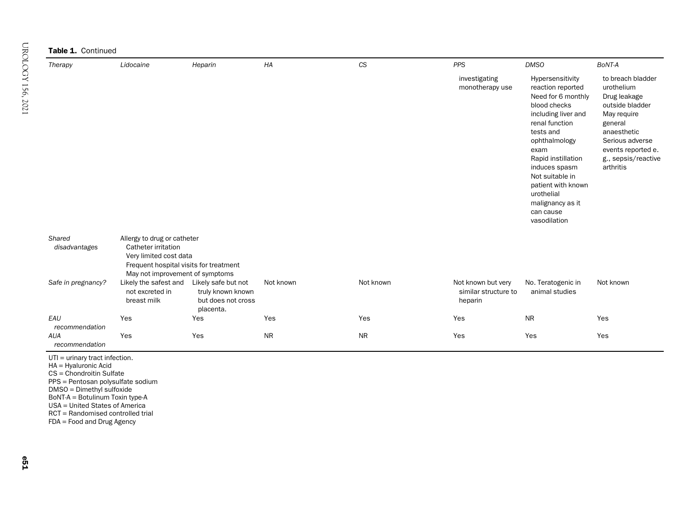Table 1. Continued

| Therapy | Lidocaine | Heparin | HA | <b>CS</b> | <b>PPS</b>                       | <b>DMSO</b>                                                                                                                                                                                                                                                                                               | BoNT-A                                                                                                                                                                                   |
|---------|-----------|---------|----|-----------|----------------------------------|-----------------------------------------------------------------------------------------------------------------------------------------------------------------------------------------------------------------------------------------------------------------------------------------------------------|------------------------------------------------------------------------------------------------------------------------------------------------------------------------------------------|
|         |           |         |    |           | investigating<br>monotherapy use | Hypersensitivity<br>reaction reported<br>Need for 6 monthly<br>blood checks<br>including liver and<br>renal function<br>tests and<br>ophthalmology<br>exam<br>Rapid instillation<br>induces spasm<br>Not suitable in<br>patient with known<br>urothelial<br>malignancy as it<br>can cause<br>vasodilation | to breach bladder<br>urothelium<br>Drug leakage<br>outside bladder<br>May require<br>general<br>anaesthetic<br>Serious adverse<br>events reported e.<br>g., sepsis/reactive<br>arthritis |

| Shared                       | Allergy to drug or catheter                             |                                                                             |           |           |                                                       |                                      |           |  |  |  |
|------------------------------|---------------------------------------------------------|-----------------------------------------------------------------------------|-----------|-----------|-------------------------------------------------------|--------------------------------------|-----------|--|--|--|
| disadvantages                | Catheter irritation                                     |                                                                             |           |           |                                                       |                                      |           |  |  |  |
|                              | Very limited cost data                                  |                                                                             |           |           |                                                       |                                      |           |  |  |  |
|                              | Frequent hospital visits for treatment                  |                                                                             |           |           |                                                       |                                      |           |  |  |  |
|                              | May not improvement of symptoms                         |                                                                             |           |           |                                                       |                                      |           |  |  |  |
| Safe in pregnancy?           | Likely the safest and<br>not excreted in<br>breast milk | Likely safe but not<br>truly known known<br>but does not cross<br>placenta. | Not known | Not known | Not known but very<br>similar structure to<br>heparin | No. Teratogenic in<br>animal studies | Not known |  |  |  |
| EAU<br>recommendation        | Yes                                                     | Yes                                                                         | Yes       | Yes       | Yes                                                   | <b>NR</b>                            | Yes       |  |  |  |
| <b>AUA</b><br>recommendation | Yes                                                     | Yes                                                                         | <b>NR</b> | <b>NR</b> | Yes                                                   | Yes                                  | Yes       |  |  |  |

UTI <sup>=</sup> urinary tract infection.

HA <sup>=</sup> Hyaluronic Acid

CS = Chondroitin Sulfate

PPS <sup>=</sup> Pentosan polysulfate sodium

DMSO <sup>=</sup> Dimethyl sulfoxide

BoNT-A <sup>=</sup> Botulinum Toxin type-A

USA <sup>=</sup> United States of America

RCT <sup>=</sup> Randomised controlled trial

FDA <sup>=</sup> Food and Drug Agency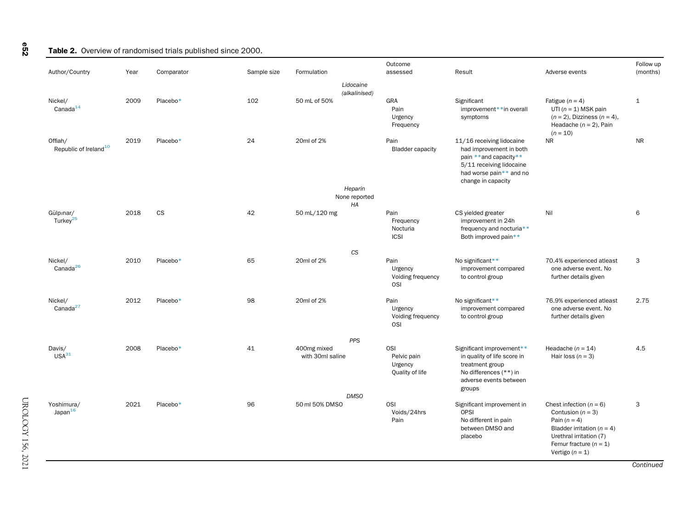#### Table 2. Overview of randomised trials published since 2000.

| Author/Country                               | Year | Comparator | Sample size | Formulation                     | Outcome<br>assessed                                     | Result                                                                                                                                                     | Adverse events                                                                                                                                        | Follow up<br>(months) |
|----------------------------------------------|------|------------|-------------|---------------------------------|---------------------------------------------------------|------------------------------------------------------------------------------------------------------------------------------------------------------------|-------------------------------------------------------------------------------------------------------------------------------------------------------|-----------------------|
|                                              |      |            |             |                                 | Lidocaine<br>(alkalinised)                              |                                                                                                                                                            |                                                                                                                                                       |                       |
| Nickel/<br>Canada <sup>14</sup>              | 2009 | Placebo*   | 102         | 50 mL of 50%                    | GRA<br>Pain<br>Urgency<br>Frequency                     | Significant<br>improvement**in overall<br>symptoms                                                                                                         | Fatigue ( $n = 4$ )<br>UTI $(n = 1)$ MSK pain<br>$(n = 2)$ , Dizziness $(n = 4)$ ,<br>Headache ( $n = 2$ ), Pain<br>$(n = 10)$                        | $\mathbf{1}$          |
| Offiah/<br>Republic of Ireland <sup>10</sup> | 2019 | Placebo*   | 24          | 20ml of 2%                      | Pain<br><b>Bladder capacity</b>                         | 11/16 receiving lidocaine<br>had improvement in both<br>pain **and capacity**<br>5/11 receiving lidocaine<br>had worse pain** and no<br>change in capacity | <b>NR</b>                                                                                                                                             | <b>NR</b>             |
|                                              |      |            |             |                                 | Heparin<br>None reported<br>HA                          |                                                                                                                                                            |                                                                                                                                                       |                       |
| Gülpinar/<br>Turkey <sup>25</sup>            | 2018 | <b>CS</b>  | 42          | 50 mL/120 mg                    | Pain<br>Frequency<br>Nocturia<br><b>ICSI</b>            | CS yielded greater<br>improvement in 24h<br>frequency and nocturia**<br>Both improved pain**                                                               | Nil                                                                                                                                                   | 6                     |
| Nickel/                                      | 2010 | Placebo*   | 65          | 20ml of 2%                      | CS<br>Pain                                              | No significant**                                                                                                                                           | 70.4% experienced atleast                                                                                                                             | 3                     |
| Canada <sup>26</sup>                         |      |            |             |                                 | Urgency<br>Voiding frequency<br>OSI                     | improvement compared<br>to control group                                                                                                                   | one adverse event. No<br>further details given                                                                                                        |                       |
| Nickel/<br>Canada $^{27}$                    | 2012 | Placebo*   | 98          | 20ml of 2%                      | Pain<br>Urgency<br>Voiding frequency<br><b>OSI</b>      | No significant**<br>improvement compared<br>to control group                                                                                               | 76.9% experienced atleast<br>one adverse event. No<br>further details given                                                                           | 2.75                  |
|                                              |      |            |             |                                 | PPS                                                     |                                                                                                                                                            |                                                                                                                                                       |                       |
| Davis/<br>USA <sup>31</sup>                  | 2008 | Placebo*   | 41          | 400mg mixed<br>with 30ml saline | <b>OSI</b><br>Pelvic pain<br>Urgency<br>Quality of life | Significant improvement**<br>in quality of life score in<br>treatment group<br>No differences (**) in<br>adverse events between<br>groups                  | Headache ( $n = 14$ )<br>Hair loss $(n = 3)$                                                                                                          | 4.5                   |
| Yoshimura/                                   | 2021 | Placebo*   | 96          | 50 ml 50% DMSO                  | <b>DMSO</b><br><b>OSI</b>                               |                                                                                                                                                            | Chest infection ( $n = 6$ )                                                                                                                           | $\mathbf{3}$          |
| Japan <sup>16</sup>                          |      |            |             |                                 | Voids/24hrs<br>Pain                                     | Significant improvement in<br>OPSI<br>No different in pain<br>between DMSO and<br>placebo                                                                  | Contusion ( $n = 3$ )<br>Pain $(n = 4)$<br>Bladder irritation ( $n = 4$ )<br>Urethral irritation (7)<br>Femur fracture $(n = 1)$<br>Vertigo $(n = 1)$ |                       |

UROLOGY 156, 2021 UROLOGY 156, 2021

<span id="page-4-0"></span>e52

Continued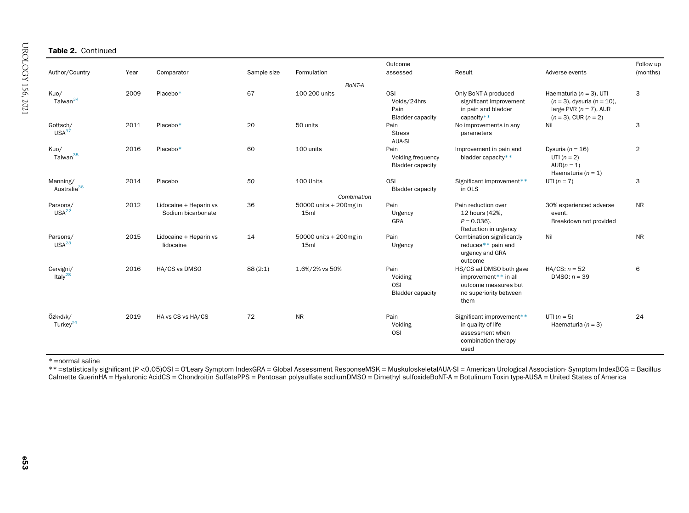<span id="page-5-0"></span>

| Author/Country                                                | Year | Comparator                                   | Sample size | Formulation                                | Outcome<br>assessed                                        | Result                                                                                                    | Adverse events                                                                               | Follow up<br>(months) |
|---------------------------------------------------------------|------|----------------------------------------------|-------------|--------------------------------------------|------------------------------------------------------------|-----------------------------------------------------------------------------------------------------------|----------------------------------------------------------------------------------------------|-----------------------|
| Kuo/<br>Taiwan <sup>34</sup>                                  | 2009 | Placebo*                                     | 67          | BoNT-A<br>100-200 units                    | <b>OSI</b><br>Voids/24hrs<br>Pain                          | Only BoNT-A produced<br>significant improvement<br>in pain and bladder                                    | Haematuria ( $n = 3$ ), UTI<br>$(n = 3)$ , dysuria $(n = 10)$ ,<br>large PVR $(n = 7)$ , AUR | 3                     |
| Gottsch/<br>USA <sup>37</sup>                                 | 2011 | Placebo*                                     | 20          | 50 units                                   | <b>Bladder capacity</b><br>Pain<br><b>Stress</b><br>AUA-SI | capacity**<br>No improvements in any<br>parameters                                                        | $(n = 3)$ , CUR $(n = 2)$<br>Nil                                                             | 3                     |
| Kuo/<br>Taiwan <sup>35</sup>                                  | 2016 | Placebo*                                     | 60          | 100 units                                  | Pain<br>Voiding frequency<br><b>Bladder capacity</b>       | Improvement in pain and<br>bladder capacity**                                                             | Dysuria ( $n = 16$ )<br>UTI $(n=2)$<br>$AUR(n = 1)$<br>Haematuria ( $n = 1$ )                | 2                     |
| Manning/<br>Australia <sup>36</sup>                           | 2014 | Placebo                                      | 50          | 100 Units<br>Combination                   | <b>OSI</b><br><b>Bladder capacity</b>                      | Significant improvement**<br>in OLS                                                                       | UTI $(n = 7)$                                                                                | 3                     |
| Parsons/<br>USA <sup>22</sup>                                 | 2012 | Lidocaine + Heparin vs<br>Sodium bicarbonate | 36          | 50000 units + 200mg in<br>15 <sub>ml</sub> | Pain<br>Urgency<br>GRA                                     | Pain reduction over<br>12 hours (42%,<br>$P = 0.036$ ).<br>Reduction in urgency                           | 30% experienced adverse<br>event.<br>Breakdown not provided                                  | <b>NR</b>             |
| Parsons/<br>USA <sup>23</sup>                                 | 2015 | Lidocaine + Heparin vs<br>lidocaine          | 14          | 50000 units + 200mg in<br>15ml             | Pain<br>Urgency                                            | Combination significantly<br>reduces** pain and<br>urgency and GRA<br>outcome                             | Nil                                                                                          | <b>NR</b>             |
| Cervigni/<br>Italy <sup>28</sup>                              | 2016 | HA/CS vs DMSO                                | 88(2:1)     | 1.6%/2% vs 50%                             | Pain<br>Voiding<br>OSI<br><b>Bladder capacity</b>          | HS/CS ad DMSO both gave<br>improvement** in all<br>outcome measures but<br>no superiority between<br>them | HA/CS: $n = 52$<br>DMSO: $n = 39$                                                            | 6                     |
| $Oz$ k <sub>z</sub> d <sub>z</sub> k/<br>Turkey <sup>29</sup> | 2019 | HA vs CS vs HA/CS                            | 72          | <b>NR</b>                                  | Pain<br>Voiding<br><b>OSI</b>                              | Significant improvement**<br>in quality of life<br>assessment when<br>combination therapy<br>used         | UTI $(n = 5)$<br>Haematuria ( $n = 3$ )                                                      | 24                    |

\* =normal saline

 \*\* =statistically significant (P <sup>&</sup>lt;0.05)OSI <sup>=</sup> O'Leary Symptom IndexGRA <sup>=</sup> Global Assessment ResponseMSK <sup>=</sup> MuskuloskeletalAUA-SI <sup>=</sup> American Urological Association- Symptom IndexBCG <sup>=</sup> Bacillus Calmette GuerinHA <sup>=</sup> Hyaluronic AcidCS <sup>=</sup> Chondroitin SulfatePPS <sup>=</sup> Pentosan polysulfate sodiumDMSO <sup>=</sup> Dimethyl sulfoxideBoNT-A <sup>=</sup> Botulinum Toxin type-AUSA <sup>=</sup> United States of America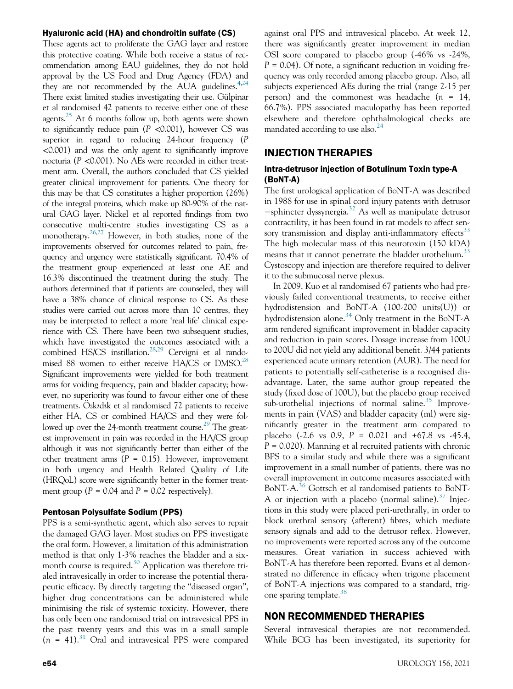#### Hyaluronic acid (HA) and chondroitin sulfate (CS)

These agents act to proliferate the GAG layer and restore this protective coating. While both receive a status of recommendation among EAU guidelines, they do not hold approval by the US Food and Drug Agency (FDA) and they are not recommended by the AUA guidelines. $4,24$  $4,24$ There exist limited studies investigating their use. Gülpinar et al randomised 42 patients to receive either one of these agents.<sup>[25](#page-9-19)</sup> At 6 months follow up, both agents were shown to significantly reduce pain  $(P \le 0.001)$ , however CS was superior in regard to reducing 24-hour frequency (P <0.001) and was the only agent to significantly improve nocturia (P <0.001). No AEs were recorded in either treatment arm. Overall, the authors concluded that CS yielded greater clinical improvement for patients. One theory for this may be that CS constitutes a higher proportion (26%) of the integral proteins, which make up 80-90% of the natural GAG layer. Nickel et al reported findings from two consecutive multi-centre studies investigating CS as a monotherapy.<sup>[26](#page-9-20)[,27](#page-9-21)</sup> However, in both studies, none of the improvements observed for outcomes related to pain, frequency and urgency were statistically significant. 70.4% of the treatment group experienced at least one AE and 16.3% discontinued the treatment during the study. The authors determined that if patients are counseled, they will have a 38% chance of clinical response to CS. As these studies were carried out across more than 10 centres, they may be interpreted to reflect a more 'real life' clinical experience with CS. There have been two subsequent studies, which have investigated the outcomes associated with a combined HS/CS instillation.<sup>28[,29](#page-9-23)</sup> Cervigni et al randomised 88 women to either receive HA/CS or DMSO.<sup>28</sup> Significant improvements were yielded for both treatment arms for voiding frequency, pain and bladder capacity; however, no superiority was found to favour either one of these treatments. Ozkadak et al randomised 72 patients to receive either HA, CS or combined HA/CS and they were fol-lowed up over the 24-month treatment course.<sup>[29](#page-9-23)</sup> The greatest improvement in pain was recorded in the HA/CS group although it was not significantly better than either of the other treatment arms ( $P = 0.15$ ). However, improvement in both urgency and Health Related Quality of Life (HRQoL) score were significantly better in the former treatment group ( $P = 0.04$  and  $P = 0.02$  respectively).

#### Pentosan Polysulfate Sodium (PPS)

PPS is a semi-synthetic agent, which also serves to repair the damaged GAG layer. Most studies on PPS investigate the oral form. However, a limitation of this administration method is that only 1-3% reaches the bladder and a six-month course is required.<sup>[30](#page-9-24)</sup> Application was therefore trialed intravesically in order to increase the potential therapeutic efficacy. By directly targeting the "diseased organ", higher drug concentrations can be administered while minimising the risk of systemic toxicity. However, there has only been one randomised trial on intravesical PPS in the past twenty years and this was in a small sample  $(n = 41).$ <sup>[31](#page-9-25)</sup> Oral and intravesical PPS were compared against oral PPS and intravesical placebo. At week 12, there was significantly greater improvement in median OSI score compared to placebo group (-46% vs -24%,  $P = 0.04$ ). Of note, a significant reduction in voiding frequency was only recorded among placebo group. Also, all subjects experienced AEs during the trial (range 2-15 per person) and the commonest was headache  $(n = 14)$ , 66.7%). PPS associated maculopathy has been reported elsewhere and therefore ophthalmological checks are mandated according to use also.<sup>[24](#page-9-18)</sup>

#### INJECTION THERAPIES

#### Intra-detrusor injection of Botulinum Toxin type-A (BoNT-A)

The first urological application of BoNT-A was described in 1988 for use in spinal cord injury patents with detrusor −sphincter dyssynergia.[32](#page-9-26) As well as manipulate detrusor contractility, it has been found in rat models to affect sen-sory transmission and display anti-inflammatory effects<sup>[33](#page-9-27)</sup> The high molecular mass of this neurotoxin (150 kDA) means that it cannot penetrate the bladder urothelium.<sup>[33](#page-9-27)</sup> Cystoscopy and injection are therefore required to deliver it to the submucosal nerve plexus.

In 2009, Kuo et al randomised 67 patients who had previously failed conventional treatments, to receive either hydrodistension and BoNT-A (100-200 units(U)) or hydrodistension alone.<sup>[34](#page-9-28)</sup> Only treatment in the BoNT-A arm rendered significant improvement in bladder capacity and reduction in pain scores. Dosage increase from 100U to 200U did not yield any additional benefit. 3/44 patients experienced acute urinary retention (AUR). The need for patients to potentially self-catheterise is a recognised disadvantage. Later, the same author group repeated the study (fixed dose of 100U), but the placebo group received sub-urothelial injections of normal saline. $35$  Improvements in pain (VAS) and bladder capacity (ml) were significantly greater in the treatment arm compared to placebo (-2.6 vs 0.9,  $P = 0.021$  and  $+67.8$  vs -45.4,  $P = 0.020$ ). Manning et al recruited patients with chronic BPS to a similar study and while there was a significant improvement in a small number of patients, there was no overall improvement in outcome measures associated with BoNT-A.<sup>[36](#page-9-30)</sup> Gottsch et al randomised patients to BoNT-A or injection with a placebo (normal saline). $37$  Injections in this study were placed peri-urethrally, in order to block urethral sensory (afferent) fibres, which mediate sensory signals and add to the detrusor reflex. However, no improvements were reported across any of the outcome measures. Great variation in success achieved with BoNT-A has therefore been reported. Evans et al demonstrated no difference in efficacy when trigone placement of BoNT-A injections was compared to a standard, trigone sparing template. $38$ 

## NON RECOMMENDED THERAPIES

Several intravesical therapies are not recommended. While BCG has been investigated, its superiority for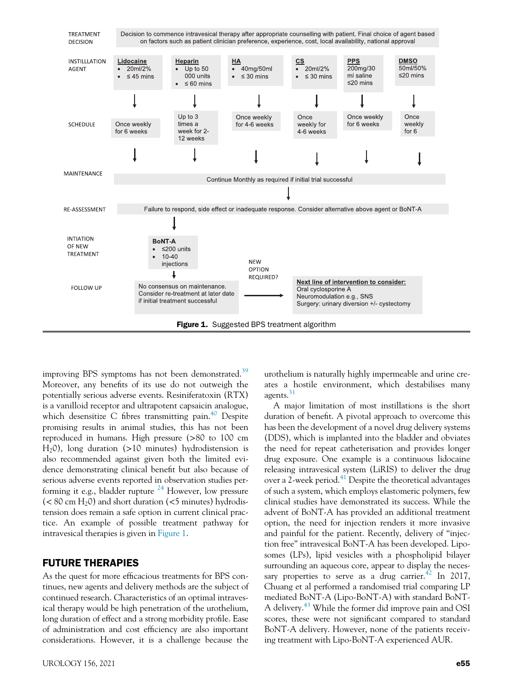<span id="page-7-0"></span>

improving BPS symptoms has not been demonstrated.<sup>[39](#page-9-33)</sup> Moreover, any benefits of its use do not outweigh the potentially serious adverse events. Resiniferatoxin (RTX) is a vanilloid receptor and ultrapotent capsaicin analogue, which desensitize C fibres transmitting pain. $40$  Despite promising results in animal studies, this has not been reproduced in humans. High pressure (>80 to 100 cm  $H_2$ 0), long duration (>10 minutes) hydrodistension is also recommended against given both the limited evidence demonstrating clinical benefit but also because of serious adverse events reported in observation studies performing it e.g., bladder rupture  $^{24}$  $^{24}$  $^{24}$  However, low pressure  $(< 80 \text{ cm H}_20$ ) and short duration  $(< 5 \text{ minutes})$  hydrodistension does remain a safe option in current clinical practice. An example of possible treatment pathway for intravesical therapies is given in [Figure 1](#page-7-0).

## FUTURE THERAPIES

As the quest for more efficacious treatments for BPS continues, new agents and delivery methods are the subject of continued research. Characteristics of an optimal intravesical therapy would be high penetration of the urothelium, long duration of effect and a strong morbidity profile. Ease of administration and cost efficiency are also important considerations. However, it is a challenge because the

urothelium is naturally highly impermeable and urine creates a hostile environment, which destabilises many agents.<sup>[31](#page-9-25)</sup>

A major limitation of most instillations is the short duration of benefit. A pivotal approach to overcome this has been the development of a novel drug delivery systems (DDS), which is implanted into the bladder and obviates the need for repeat catheterisation and provides longer drug exposure. One example is a continuous lidocaine releasing intravesical system (LiRIS) to deliver the drug over a 2-week period.<sup>[41](#page-9-35)</sup> Despite the theoretical advantages of such a system, which employs elastomeric polymers, few clinical studies have demonstrated its success. While the advent of BoNT-A has provided an additional treatment option, the need for injection renders it more invasive and painful for the patient. Recently, delivery of "injection free" intravesical BoNT-A has been developed. Liposomes (LPs), lipid vesicles with a phospholipid bilayer surrounding an aqueous core, appear to display the necessary properties to serve as a drug carrier.<sup> $42$ </sup> In 2017, Chuang et al performed a randomised trial comparing LP mediated BoNT-A (Lipo-BoNT-A) with standard BoNT-A delivery.<sup>[43](#page-9-37)</sup> While the former did improve pain and OSI scores, these were not significant compared to standard BoNT-A delivery. However, none of the patients receiving treatment with Lipo-BoNT-A experienced AUR.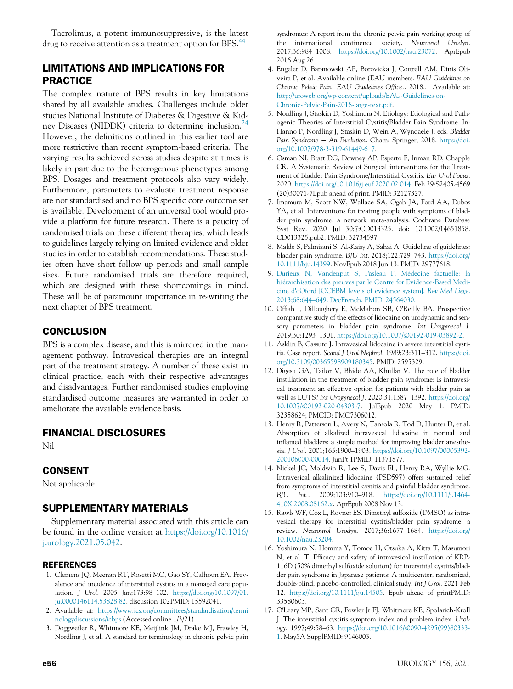<span id="page-8-20"></span>Tacrolimus, a potent immunosuppressive, is the latest drug to receive attention as a treatment option for BPS.<sup>44</sup>

# <span id="page-8-3"></span>LIMITATIONS AND IMPLICATIONS FOR PRACTICE

<span id="page-8-6"></span><span id="page-8-5"></span><span id="page-8-4"></span>The complex nature of BPS results in key limitations shared by all available studies. Challenges include older studies National Institute of Diabetes & Digestive & Kid-ney Diseases (NIDDK) criteria to determine inclusion.<sup>[24](#page-9-18)</sup> However, the definitions outlined in this earlier tool are more restrictive than recent symptom-based criteria. The varying results achieved across studies despite at times is likely in part due to the heterogenous phenotypes among BPS. Dosages and treatment protocols also vary widely. Furthermore, parameters to evaluate treatment response are not standardised and no BPS specific core outcome set is available. Development of an universal tool would provide a platform for future research. There is a paucity of randomised trials on these different therapies, which leads to guidelines largely relying on limited evidence and older studies in order to establish recommendations. These studies often have short follow up periods and small sample sizes. Future randomised trials are therefore required, which are designed with these shortcomings in mind. These will be of paramount importance in re-writing the next chapter of BPS treatment.

# <span id="page-8-10"></span><span id="page-8-8"></span><span id="page-8-7"></span>**CONCLUSION**

<span id="page-8-12"></span><span id="page-8-11"></span>BPS is a complex disease, and this is mirrored in the management pathway. Intravesical therapies are an integral part of the treatment strategy. A number of these exist in clinical practice, each with their respective advantages and disadvantages. Further randomised studies employing standardised outcome measures are warranted in order to ameliorate the available evidence basis.

## <span id="page-8-13"></span>FINANCIAL DISCLOSURES

Nil

## <span id="page-8-14"></span>CONSENT

Not applicable

# <span id="page-8-15"></span><span id="page-8-9"></span>SUPPLEMENTARY MATERIALS

Supplementary material associated with this article can be found in the online version at [https://doi.org/10.1016/](https://doi.org/10.1016/j.urology.2021.05.042) [j.urology.2021.05.042.](https://doi.org/10.1016/j.urology.2021.05.042)

#### <span id="page-8-16"></span><span id="page-8-0"></span>REFERENCES

- 1. Clemens JQ, Meenan RT, Rosetti MC, Gao SY, Calhoun EA. Prevalence and incidence of interstitial cystitis in a managed care population. J Urol. 2005 Jan;173:98–102. [https://doi.org/10.1097/01.](https://doi.org/10.1097/01.ju.0000146114.53828.82) [ju.0000146114.53828.82.](https://doi.org/10.1097/01.ju.0000146114.53828.82) discussion 102PMID: 15592041.
- <span id="page-8-17"></span><span id="page-8-1"></span>2. Available at: [https://www.ics.org/committees/standardisation/termi](https://www.ics.org/committees/standardisation/terminologydiscussions/icbps) [nologydiscussions/icbps](https://www.ics.org/committees/standardisation/terminologydiscussions/icbps) (Accessed online 1/3/21).
- <span id="page-8-2"></span>3. Doggweiler R, Whitmore KE, Meijlink JM, Drake MJ, Frawley H, Nordling J, et al. A standard for terminology in chronic pelvic pain

<span id="page-8-19"></span><span id="page-8-18"></span>syndromes: A report from the chronic pelvic pain working group of the international continence society. Neurourol Urodyn. 2017;36:984–1008. <https://doi.org/10.1002/nau.23072>. AprEpub 2016 Aug 26.

- 4. Engeler D, Baranowski AP, Borovicka J, Cottrell AM, Dinis Oliveira P, et al. Available online (EAU members. EAU Guidelines on Chronic Pelvic Pain. EAU Guidelines Office.. 2018.. Available at: [http://uroweb.org/wp-content/uploads/EAU-Guidelines-on-](http://uroweb.org/wp-content/uploads/EAU-Guidelines-on-Chronic-Pelvic-Pain-2018-large-text.pdf)[Chronic-Pelvic-Pain-2018-large-text.pdf.](http://uroweb.org/wp-content/uploads/EAU-Guidelines-on-Chronic-Pelvic-Pain-2018-large-text.pdf)
- 5. Nordling J, Staskin D, Yoshimura N. Etiology: Etiological and Pathogenic Theories of Interstitial Cystitis/Bladder Pain Syndrome. In: Hanno P, Nordling J, Staskin D, Wein A, Wyndaele J, eds. Bladder Pain Syndrome − An Evolution. Cham: Springer; 2018. [https://doi.](https://doi.org/10.1007/978-3-319-61449-6_7) [org/10.1007/978-3-319-61449-6\\_7](https://doi.org/10.1007/978-3-319-61449-6_7).
- 6. Osman NI, Bratt DG, Downey AP, Esperto F, Inman RD, Chapple CR. A Systematic Review of Surgical interventions for the Treatment of Bladder Pain Syndrome/Interstitial Cystitis. Eur Urol Focus. 2020. <https://doi.org/10.1016/j.euf.2020.02.014>. Feb 29:S2405-4569 (20)30071-7Epub ahead of print. PMID: 32127327.
- 7. Imamura M, Scott NW, Wallace SA, Ogah JA, Ford AA, Dubos YA, et al. Interventions for treating people with symptoms of bladder pain syndrome: a network meta-analysis. Cochrane Database Syst Rev. 2020 Jul 30;7:CD013325. doi: 10.1002/14651858. CD013325.pub2. PMID: 32734597.
- 8. Malde S, Palmisani S, Al-Kaisy A, Sahai A. Guideline of guidelines: bladder pain syndrome. BJU Int. 2018;122:729–743. [https://doi.org/](https://doi.org/10.1111/bju.14399) [10.1111/bju.14399.](https://doi.org/10.1111/bju.14399) NovEpub 2018 Jun 13. PMID: 29777618.
- 9. [Durieux N, Vandenput S, Pasleau F. M](http://refhub.elsevier.com/S0090-4295(21)00466-0/sbref0009)édecine factuelle: la [hi](http://refhub.elsevier.com/S0090-4295(21)00466-0/sbref0009)é[rarchisation des preuves par le Centre for Evidence-Based Medi](http://refhub.elsevier.com/S0090-4295(21)00466-0/sbref0009)cine d'[oOford \[OCEBM levels of evidence system\].](http://refhub.elsevier.com/S0090-4295(21)00466-0/sbref0009) Rev Med Liege. 2013;68:644–[649. DecFrench. PMID: 24564030.](http://refhub.elsevier.com/S0090-4295(21)00466-0/sbref0009)
- 10. Offiah I, Dilloughery E, McMahon SB, O'Reilly BA. Prospective comparative study of the effects of lidocaine on urodynamic and sensory parameters in bladder pain syndrome. Int Urogynecol J. 2019;30:1293–1301. <https://doi.org/10.1007/s00192-019-03892-2>.
- 11. Asklin B, Cassuto J. Intravesical lidocaine in severe interstitial cystitis. Case report. Scand J Urol Nephrol. 1989;23:311-312. [https://doi.](https://doi.org/10.3109/00365598909180345) [org/10.3109/00365598909180345.](https://doi.org/10.3109/00365598909180345) PMID: 2595329.
- 12. Digesu GA, Tailor V, Bhide AA, Khullar V. The role of bladder instillation in the treatment of bladder pain syndrome: Is intravesical treatment an effective option for patients with bladder pain as well as LUTS? Int Urogynecol J. 2020;31:1387–1392. [https://doi.org/](https://doi.org/10.1007/s00192-020-04303-7) [10.1007/s00192-020-04303-7](https://doi.org/10.1007/s00192-020-04303-7). JulEpub 2020 May 1. PMID: 32358624; PMCID: PMC7306012.
- 13. Henry R, Patterson L, Avery N, Tanzola R, Tod D, Hunter D, et al. Absorption of alkalized intravesical lidocaine in normal and inflamed bladders: a simple method for improving bladder anesthesia. J Urol. 2001;165:1900–1903. [https://doi.org/10.1097/00005392-](https://doi.org/10.1097/00005392-200106000-00014) [200106000-00014](https://doi.org/10.1097/00005392-200106000-00014). JunPt 1PMID: 11371877.
- 14. Nickel JC, Moldwin R, Lee S, Davis EL, Henry RA, Wyllie MG. Intravesical alkalinized lidocaine (PSD597) offers sustained relief from symptoms of interstitial cystitis and painful bladder syndrome. BJU Int.. 2009;103:910–918. [https://doi.org/10.1111/j.1464-](https://doi.org/10.1111/j.1464-410X.2008.08162.x) [410X.2008.08162.x](https://doi.org/10.1111/j.1464-410X.2008.08162.x). AprEpub 2008 Nov 13.
- 15. Rawls WF, Cox L, Rovner ES. Dimethyl sulfoxide (DMSO) as intravesical therapy for interstitial cystitis/bladder pain syndrome: a review. Neurourol Urodyn. 2017;36:1677–1684. [https://doi.org/](https://doi.org/10.1002/nau.23204) [10.1002/nau.23204.](https://doi.org/10.1002/nau.23204)
- 16. Yoshimura N, Homma Y, Tomoe H, Otsuka A, Kitta T, Masumori N, et al. T. Efficacy and safety of intravesical instillation of KRP-116D (50% dimethyl sulfoxide solution) for interstitial cystitis/bladder pain syndrome in Japanese patients: A multicenter, randomized, double-blind, placebo-controlled, clinical study. Int J Urol. 2021 Feb 12. <https://doi.org/10.1111/iju.14505>. Epub ahead of printPMID: 33580603.
- 17. O'Leary MP, Sant GR, Fowler Jr FJ, Whitmore KE, Spolarich-Kroll J. The interstitial cystitis symptom index and problem index. Urology. 1997;49:58–63. [https://doi.org/10.1016/s0090-4295\(99\)80333-](https://doi.org/10.1016/s0090-4295(99)80333-1) [1.](https://doi.org/10.1016/s0090-4295(99)80333-1) May5A SupplPMID: 9146003.